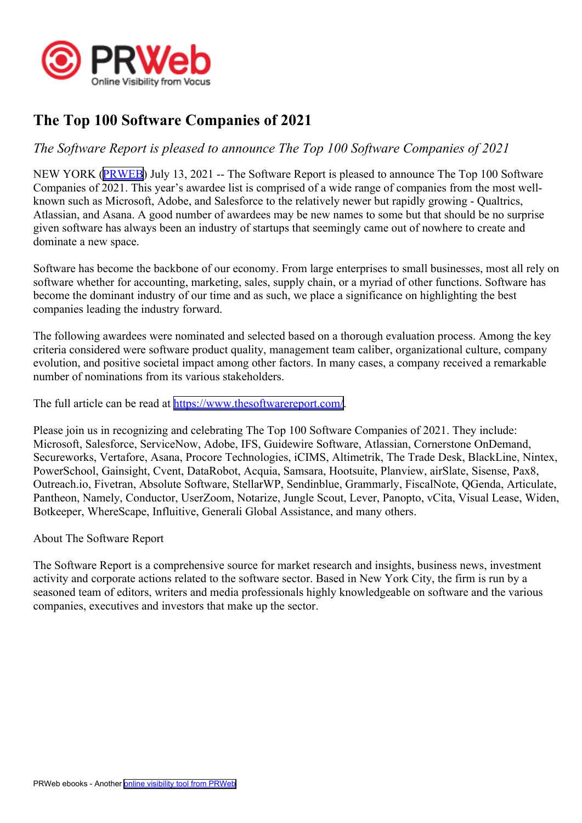

## **The Top 100 Software Companies of 2021**

## *The Software Report is pleased to announce The Top 100 Software Companies of 2021*

NEW YORK [\(PRWEB\)](http://www.prweb.com) July 13, 2021 -- The Software Report is pleased to announce The Top 100 Software Companies of 2021. This year's awardee list is comprised of <sup>a</sup> wide range of companies from the most wellknown such as Microsoft, Adobe, and Salesforce to the relatively newer but rapidly growing - Qualtrics, Atlassian, and Asana. A good number of awardees may be new names to some but that should be no surprise given software has always been an industry of startups that seemingly came out of nowhere to create and dominate <sup>a</sup> new space.

Software has become the backbone of our economy. From large enterprises to small businesses, most all rely on software whether for accounting, marketing, sales, supply chain, or <sup>a</sup> myriad of other functions. Software has become the dominant industry of our time and as such, we place <sup>a</sup> significance on highlighting the best companies leading the industry forward.

The following awardees were nominated and selected based on <sup>a</sup> thorough evaluation process. Among the key criteria considered were software product quality, managemen<sup>t</sup> team caliber, organizational culture, company evolution, and positive societal impact among other factors. In many cases, <sup>a</sup> company received <sup>a</sup> remarkable number of nominations from its various stakeholders.

The full article can be read at <https://www.thesoftwarereport.com/>.

Please join us in recognizing and celebrating The Top 100 Software Companies of 2021. They include: Microsoft, Salesforce, ServiceNow, Adobe, IFS, Guidewire Software, Atlassian, Cornerstone OnDemand, Secureworks, Vertafore, Asana, Procore Technologies, iCIMS, Altimetrik, The Trade Desk, BlackLine, Nintex, PowerSchool, Gainsight, Cvent, DataRobot, Acquia, Samsara, Hootsuite, Planview, airSlate, Sisense, Pax8, Outreach.io, Fivetran, Absolute Software, StellarWP, Sendinblue, Grammarly, FiscalNote, QGenda, Articulate, Pantheon, Namely, Conductor, UserZoom, Notarize, Jungle Scout, Lever, Panopto, vCita, Visual Lease, Widen, Botkeeper, WhereScape, Influitive, Generali Global Assistance, and many others.

About The Software Report

The Software Report is <sup>a</sup> comprehensive source for market research and insights, business news, investment activity and corporate actions related to the software sector. Based in New York City, the firm is run by <sup>a</sup> seasoned team of editors, writers and media professionals highly knowledgeable on software and the various companies, executives and investors that make up the sector.